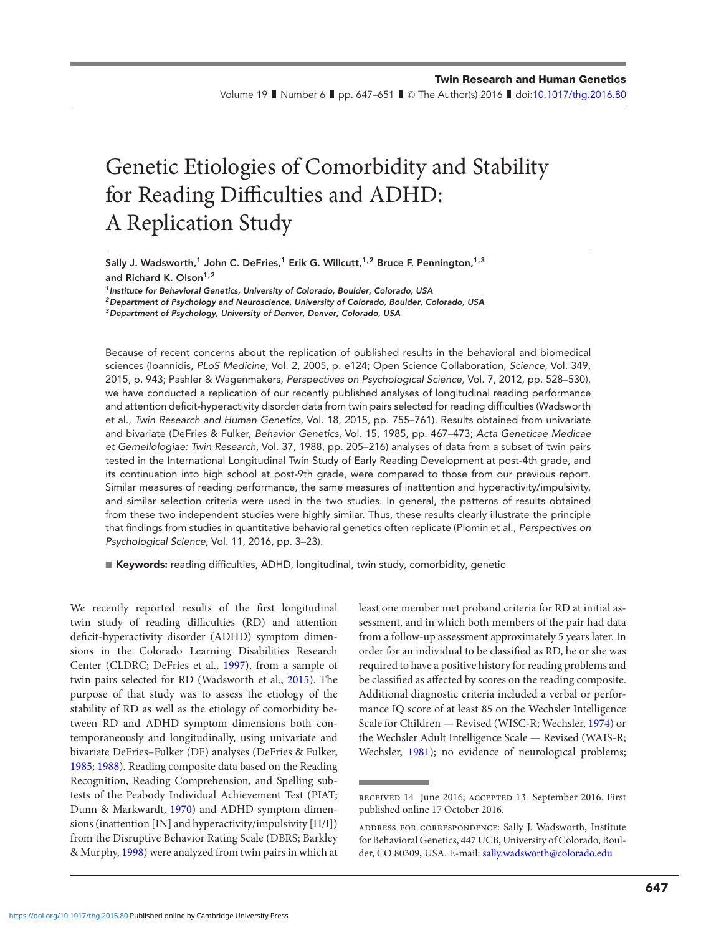Volume 19  $\;$  Number 6  $\;$  pp. 647–651  $\;$  C The Author(s) 2016  $\;$  doi[:10.1017/thg.2016.80](https://doi.org/10.1017/thg.2016.80)

# Genetic Etiologies of Comorbidity and Stability for Reading Difficulties and ADHD: A Replication Study

**Sally J. Wadsworth,<sup>1</sup> John C. DeFries,1 Erik G. Willcutt,1,2 Bruce F. Pennington,1,3 and Richard K. Olson1,2**

*1Institute for Behavioral Genetics, University of Colorado, Boulder, Colorado, USA 2Department of Psychology and Neuroscience, University of Colorado, Boulder, Colorado, USA*

*3Department of Psychology, University of Denver, Denver, Colorado, USA*

Because of recent concerns about the replication of published results in the behavioral and biomedical sciences (Ioannidis, PLoS Medicine, Vol. 2, 2005, p. e124; Open Science Collaboration, Science, Vol. 349, 2015, p. 943; Pashler & Wagenmakers, Perspectives on Psychological Science, Vol. 7, 2012, pp. 528–530), we have conducted a replication of our recently published analyses of longitudinal reading performance and attention deficit-hyperactivity disorder data from twin pairs selected for reading difficulties (Wadsworth et al., Twin Research and Human Genetics, Vol. 18, 2015, pp. 755–761). Results obtained from univariate and bivariate (DeFries & Fulker, Behavior Genetics, Vol. 15, 1985, pp. 467–473; Acta Geneticae Medicae et Gemellologiae: Twin Research, Vol. 37, 1988, pp. 205–216) analyses of data from a subset of twin pairs tested in the International Longitudinal Twin Study of Early Reading Development at post-4th grade, and its continuation into high school at post-9th grade, were compared to those from our previous report. Similar measures of reading performance, the same measures of inattention and hyperactivity/impulsivity, and similar selection criteria were used in the two studies. In general, the patterns of results obtained from these two independent studies were highly similar. Thus, these results clearly illustrate the principle that findings from studies in quantitative behavioral genetics often replicate (Plomin et al., Perspectives on Psychological Science, Vol. 11, 2016, pp. 3–23).

■ **Keywords:** reading difficulties, ADHD, longitudinal, twin study, comorbidity, genetic

We recently reported results of the first longitudinal twin study of reading difficulties (RD) and attention deficit-hyperactivity disorder (ADHD) symptom dimensions in the Colorado Learning Disabilities Research Center (CLDRC; DeFries et al., [1997\)](#page-3-0), from a sample of twin pairs selected for RD (Wadsworth et al., [2015\)](#page-4-0). The purpose of that study was to assess the etiology of the stability of RD as well as the etiology of comorbidity between RD and ADHD symptom dimensions both contemporaneously and longitudinally, using univariate and bivariate DeFries–Fulker (DF) analyses (DeFries & Fulker, [1985;](#page-3-0) [1988\)](#page-3-0). Reading composite data based on the Reading Recognition, Reading Comprehension, and Spelling subtests of the Peabody Individual Achievement Test (PIAT; Dunn & Markwardt, [1970\)](#page-3-0) and ADHD symptom dimensions (inattention [IN] and hyperactivity/impulsivity [H/I]) from the Disruptive Behavior Rating Scale (DBRS; Barkley & Murphy, [1998\)](#page-3-0) were analyzed from twin pairs in which at least one member met proband criteria for RD at initial assessment, and in which both members of the pair had data from a follow-up assessment approximately 5 years later. In order for an individual to be classified as RD, he or she was required to have a positive history for reading problems and be classified as affected by scores on the reading composite. Additional diagnostic criteria included a verbal or performance IQ score of at least 85 on the Wechsler Intelligence Scale for Children — Revised (WISC-R; Wechsler, [1974\)](#page-4-0) or the Wechsler Adult Intelligence Scale — Revised (WAIS-R; Wechsler, [1981\)](#page-4-0); no evidence of neurological problems;

received 14 June 2016; accepted 13 September 2016. First published online 17 October 2016.

address for correspondence: Sally J. Wadsworth, Institute for Behavioral Genetics, 447 UCB, University of Colorado, Boulder, CO 80309, USA. E-mail: [sally.wadsworth@colorado.edu](mailto:sally.wadsworth@colorado.edu)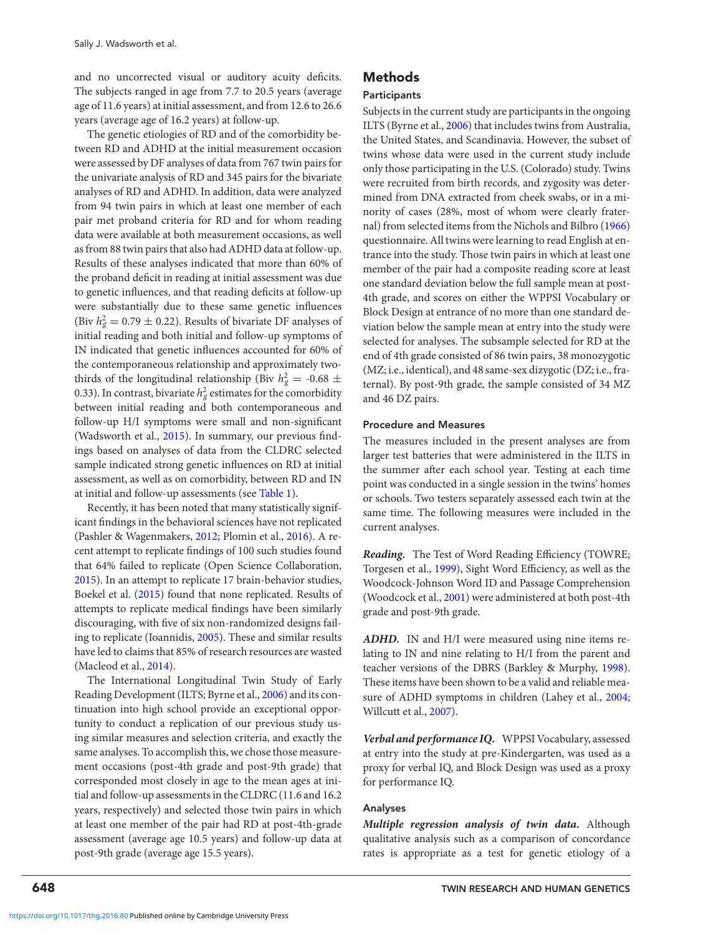and no uncorrected visual or auditory acuity deficits. The subjects ranged in age from 7.7 to 20.5 years (average age of 11.6 years) at initial assessment, and from 12.6 to 26.6 years (average age of 16.2 years) at follow-up.

The genetic etiologies of RD and of the comorbidity between RD and ADHD at the initial measurement occasion were assessed by DF analyses of data from 767 twin pairs for the univariate analysis of RD and 345 pairs for the bivariate analyses of RD and ADHD. In addition, data were analyzed from 94 twin pairs in which at least one member of each pair met proband criteria for RD and for whom reading data were available at both measurement occasions, as well as from 88 twin pairs that also had ADHD data at follow-up. Results of these analyses indicated that more than 60% of the proband deficit in reading at initial assessment was due to genetic influences, and that reading deficits at follow-up were substantially due to these same genetic influences (Biv  $h_g^2 = 0.79 \pm 0.22$ ). Results of bivariate DF analyses of initial reading and both initial and follow-up symptoms of IN indicated that genetic influences accounted for 60% of the contemporaneous relationship and approximately twothirds of the longitudinal relationship (Biv  $h_g^2 = -0.68 \pm 0.08$ 0.33). In contrast, bivariate  $h_g^2$  estimates for the comorbidity between initial reading and both contemporaneous and follow-up H/I symptoms were small and non-significant (Wadsworth et al., [2015\)](#page-4-0). In summary, our previous findings based on analyses of data from the CLDRC selected sample indicated strong genetic influences on RD at initial assessment, as well as on comorbidity, between RD and IN at initial and follow-up assessments (see [Table 1\)](#page-2-0).

Recently, it has been noted that many statistically significant findings in the behavioral sciences have not replicated (Pashler & Wagenmakers, [2012;](#page-4-0) Plomin et al., [2016\)](#page-4-0). A recent attempt to replicate findings of 100 such studies found that 64% failed to replicate (Open Science Collaboration, [2015\)](#page-4-0). In an attempt to replicate 17 brain-behavior studies, Boekel et al. [\(2015\)](#page-3-0) found that none replicated. Results of attempts to replicate medical findings have been similarly discouraging, with five of six non-randomized designs failing to replicate (Ioannidis, [2005\)](#page-3-0). These and similar results have led to claims that 85% of research resources are wasted (Macleod et al., [2014\)](#page-4-0).

The International Longitudinal Twin Study of Early Reading Development (ILTS; Byrne et al., [2006\)](#page-3-0) and its continuation into high school provide an exceptional opportunity to conduct a replication of our previous study using similar measures and selection criteria, and exactly the same analyses. To accomplish this, we chose those measurement occasions (post-4th grade and post-9th grade) that corresponded most closely in age to the mean ages at initial and follow-up assessments in the CLDRC (11.6 and 16.2 years, respectively) and selected those twin pairs in which at least one member of the pair had RD at post-4th-grade assessment (average age 10.5 years) and follow-up data at post-9th grade (average age 15.5 years).

#### **Methods**

#### **Participants**

Subjects in the current study are participants in the ongoing ILTS (Byrne et al., [2006\)](#page-3-0) that includes twins from Australia, the United States, and Scandinavia. However, the subset of twins whose data were used in the current study include only those participating in the U.S. (Colorado) study. Twins were recruited from birth records, and zygosity was determined from DNA extracted from cheek swabs, or in a minority of cases (28%, most of whom were clearly fraternal) from selected items from the Nichols and Bilbro [\(1966\)](#page-4-0) questionnaire. All twins were learning to read English at entrance into the study. Those twin pairs in which at least one member of the pair had a composite reading score at least one standard deviation below the full sample mean at post-4th grade, and scores on either the WPPSI Vocabulary or Block Design at entrance of no more than one standard deviation below the sample mean at entry into the study were selected for analyses. The subsample selected for RD at the end of 4th grade consisted of 86 twin pairs, 38 monozygotic (MZ; i.e., identical), and 48 same-sex dizygotic (DZ; i.e., fraternal). By post-9th grade, the sample consisted of 34 MZ and 46 DZ pairs.

#### **Procedure and Measures**

The measures included in the present analyses are from larger test batteries that were administered in the ILTS in the summer after each school year. Testing at each time point was conducted in a single session in the twins' homes or schools. Two testers separately assessed each twin at the same time. The following measures were included in the current analyses.

*Reading.* The Test of Word Reading Efficiency (TOWRE; Torgesen et al., [1999\)](#page-4-0), Sight Word Efficiency, as well as the Woodcock-Johnson Word ID and Passage Comprehension (Woodcock et al., [2001\)](#page-4-0) were administered at both post-4th grade and post-9th grade.

*ADHD.* IN and H/I were measured using nine items relating to IN and nine relating to H/I from the parent and teacher versions of the DBRS (Barkley & Murphy, [1998\)](#page-3-0). These items have been shown to be a valid and reliable mea-sure of ADHD symptoms in children (Lahey et al., [2004;](#page-3-0) Willcutt et al., [2007\)](#page-4-0).

*Verbal and performance IQ.* WPPSI Vocabulary, assessed at entry into the study at pre-Kindergarten, was used as a proxy for verbal IQ, and Block Design was used as a proxy for performance IQ.

#### **Analyses**

*Multiple regression analysis of twin data.* Although qualitative analysis such as a comparison of concordance rates is appropriate as a test for genetic etiology of a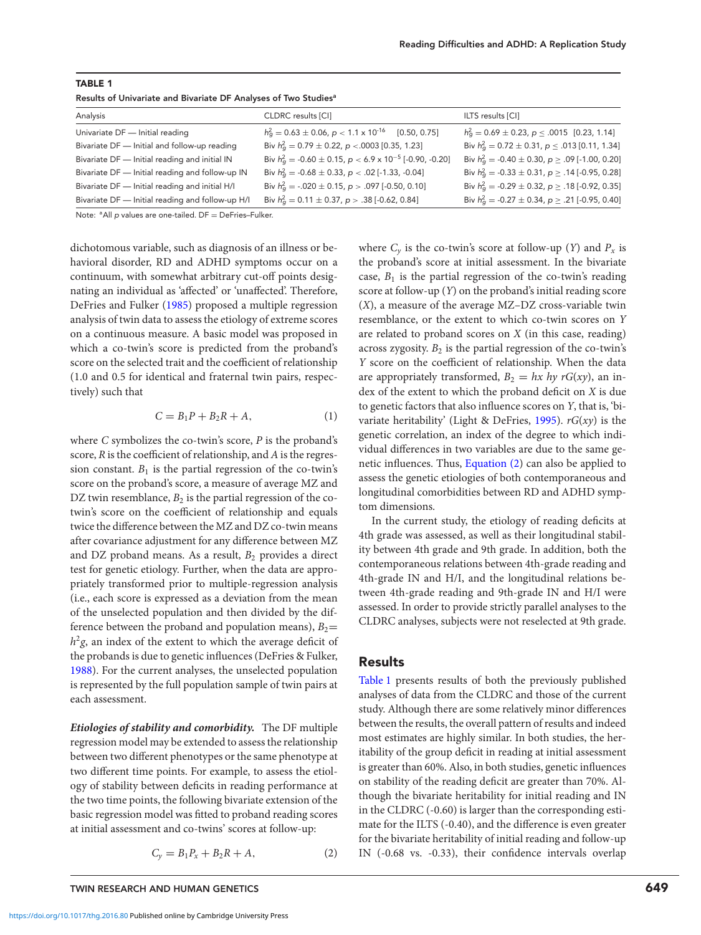<span id="page-2-0"></span>

| <b>TABLE 1</b>                                                              |
|-----------------------------------------------------------------------------|
| Results of Univariate and Bivariate DF Analyses of Two Studies <sup>a</sup> |

| Analysis                                         | CLDRC results [CI]                                                     | ILTS results [CI]                                                |
|--------------------------------------------------|------------------------------------------------------------------------|------------------------------------------------------------------|
| Univariate DF - Initial reading                  | $h_a^2 = 0.63 \pm 0.06$ , $p < 1.1 \times 10^{-16}$ [0.50, 0.75]       | $h_q^2 = 0.69 \pm 0.23$ , $p \le .0015$ [0.23, 1.14]             |
| Bivariate DF - Initial and follow-up reading     | Biv $h_{\rm g}^2 = 0.79 \pm 0.22$ , $p < 0.003$ [0.35, 1.23]           | Biv $h_{\alpha}^2 = 0.72 \pm 0.31$ , $p \le .013$ [0.11, 1.34]   |
| Bivariate DF - Initial reading and initial IN    | Biv $h_q^2 = -0.60 \pm 0.15$ , $p < 6.9 \times 10^{-5}$ [-0.90, -0.20] | Biv $h_q^2 = -0.40 \pm 0.30$ , $p \ge .09$ [-1.00, 0.20]         |
| Bivariate DF - Initial reading and follow-up IN  | Biv $h_q^2 = -0.68 \pm 0.33$ , $p < .02$ [-1.33, -0.04]                | Biv $h_q^2 = -0.33 \pm 0.31$ , $p \ge .14$ [-0.95, 0.28]         |
| Bivariate DF - Initial reading and initial H/I   | Biv $h_{\alpha}^2$ = -.020 $\pm$ 0.15, p > .097 [-0.50, 0.10]          | Biv $h_{\rm q}^2$ = -0.29 $\pm$ 0.32, p $\geq$ .18 [-0.92, 0.35] |
| Bivariate DF - Initial reading and follow-up H/I | Biv $h_q^2 = 0.11 \pm 0.37$ , $p > .38$ [-0.62, 0.84]                  | Biv $h_q^2 = -0.27 \pm 0.34$ , $p \ge .21$ [-0.95, 0.40]         |

Note: <sup>a</sup>All p values are one-tailed. DF = DeFries-Fulker.

dichotomous variable, such as diagnosis of an illness or behavioral disorder, RD and ADHD symptoms occur on a continuum, with somewhat arbitrary cut-off points designating an individual as 'affected' or 'unaffected'. Therefore, DeFries and Fulker [\(1985\)](#page-3-0) proposed a multiple regression analysis of twin data to assess the etiology of extreme scores on a continuous measure. A basic model was proposed in which a co-twin's score is predicted from the proband's score on the selected trait and the coefficient of relationship (1.0 and 0.5 for identical and fraternal twin pairs, respectively) such that

$$
C = B_1 P + B_2 R + A,\tag{1}
$$

where *C* symbolizes the co-twin's score, *P* is the proband's score, *R* is the coefficient of relationship, and *A* is the regression constant.  $B_1$  is the partial regression of the co-twin's score on the proband's score, a measure of average MZ and DZ twin resemblance,  $B_2$  is the partial regression of the cotwin's score on the coefficient of relationship and equals twice the difference between the MZ and DZ co-twin means after covariance adjustment for any difference between MZ and DZ proband means. As a result,  $B_2$  provides a direct test for genetic etiology. Further, when the data are appropriately transformed prior to multiple-regression analysis (i.e., each score is expressed as a deviation from the mean of the unselected population and then divided by the difference between the proband and population means),  $B_2=$  $h^2$ *g*, an index of the extent to which the average deficit of the probands is due to genetic influences (DeFries & Fulker, [1988\)](#page-3-0). For the current analyses, the unselected population is represented by the full population sample of twin pairs at each assessment.

*Etiologies of stability and comorbidity.* The DF multiple regression model may be extended to assess the relationship between two different phenotypes or the same phenotype at two different time points. For example, to assess the etiology of stability between deficits in reading performance at the two time points, the following bivariate extension of the basic regression model was fitted to proband reading scores at initial assessment and co-twins' scores at follow-up:

$$
C_y = B_1 P_x + B_2 R + A,\t\t(2)
$$

where  $C_v$  is the co-twin's score at follow-up (*Y*) and  $P_x$  is the proband's score at initial assessment. In the bivariate case,  $B_1$  is the partial regression of the co-twin's reading score at follow-up (*Y*) on the proband's initial reading score (*X*), a measure of the average MZ–DZ cross-variable twin resemblance, or the extent to which co-twin scores on *Y* are related to proband scores on *X* (in this case, reading) across zygosity.  $B_2$  is the partial regression of the co-twin's *Y* score on the coefficient of relationship. When the data are appropriately transformed,  $B_2 = hx \ hy \ rG(xy)$ , an index of the extent to which the proband deficit on *X* is due to genetic factors that also influence scores on *Y*, that is, 'bivariate heritability' (Light & DeFries, [1995\)](#page-4-0). *rG*(*xy*) is the genetic correlation, an index of the degree to which individual differences in two variables are due to the same genetic influences. Thus, Equation (2) can also be applied to assess the genetic etiologies of both contemporaneous and longitudinal comorbidities between RD and ADHD symptom dimensions.

In the current study, the etiology of reading deficits at 4th grade was assessed, as well as their longitudinal stability between 4th grade and 9th grade. In addition, both the contemporaneous relations between 4th-grade reading and 4th-grade IN and H/I, and the longitudinal relations between 4th-grade reading and 9th-grade IN and H/I were assessed. In order to provide strictly parallel analyses to the CLDRC analyses, subjects were not reselected at 9th grade.

## **Results**

Table 1 presents results of both the previously published analyses of data from the CLDRC and those of the current study. Although there are some relatively minor differences between the results, the overall pattern of results and indeed most estimates are highly similar. In both studies, the heritability of the group deficit in reading at initial assessment is greater than 60%. Also, in both studies, genetic influences on stability of the reading deficit are greater than 70%. Although the bivariate heritability for initial reading and IN in the CLDRC (-0.60) is larger than the corresponding estimate for the ILTS (-0.40), and the difference is even greater for the bivariate heritability of initial reading and follow-up IN (-0.68 vs. -0.33), their confidence intervals overlap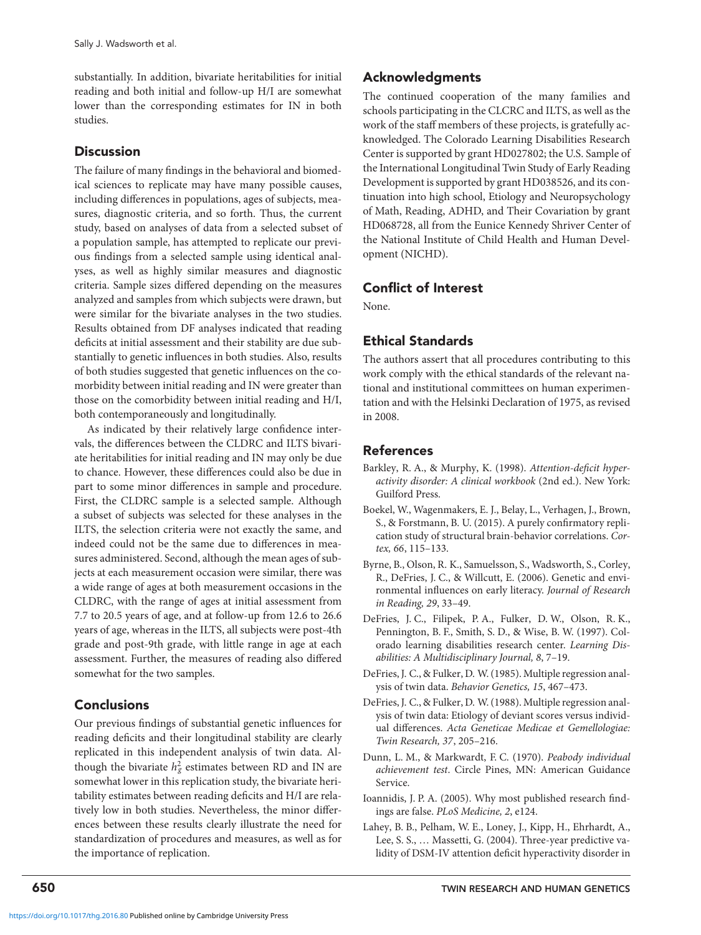<span id="page-3-0"></span>substantially. In addition, bivariate heritabilities for initial reading and both initial and follow-up H/I are somewhat lower than the corresponding estimates for IN in both studies.

## **Discussion**

The failure of many findings in the behavioral and biomedical sciences to replicate may have many possible causes, including differences in populations, ages of subjects, measures, diagnostic criteria, and so forth. Thus, the current study, based on analyses of data from a selected subset of a population sample, has attempted to replicate our previous findings from a selected sample using identical analyses, as well as highly similar measures and diagnostic criteria. Sample sizes differed depending on the measures analyzed and samples from which subjects were drawn, but were similar for the bivariate analyses in the two studies. Results obtained from DF analyses indicated that reading deficits at initial assessment and their stability are due substantially to genetic influences in both studies. Also, results of both studies suggested that genetic influences on the comorbidity between initial reading and IN were greater than those on the comorbidity between initial reading and H/I, both contemporaneously and longitudinally.

As indicated by their relatively large confidence intervals, the differences between the CLDRC and ILTS bivariate heritabilities for initial reading and IN may only be due to chance. However, these differences could also be due in part to some minor differences in sample and procedure. First, the CLDRC sample is a selected sample. Although a subset of subjects was selected for these analyses in the ILTS, the selection criteria were not exactly the same, and indeed could not be the same due to differences in measures administered. Second, although the mean ages of subjects at each measurement occasion were similar, there was a wide range of ages at both measurement occasions in the CLDRC, with the range of ages at initial assessment from 7.7 to 20.5 years of age, and at follow-up from 12.6 to 26.6 years of age, whereas in the ILTS, all subjects were post-4th grade and post-9th grade, with little range in age at each assessment. Further, the measures of reading also differed somewhat for the two samples.

## **Conclusions**

Our previous findings of substantial genetic influences for reading deficits and their longitudinal stability are clearly replicated in this independent analysis of twin data. Although the bivariate  $h_g^2$  estimates between RD and IN are somewhat lower in this replication study, the bivariate heritability estimates between reading deficits and H/I are relatively low in both studies. Nevertheless, the minor differences between these results clearly illustrate the need for standardization of procedures and measures, as well as for the importance of replication.

# **Acknowledgments**

The continued cooperation of the many families and schools participating in the CLCRC and ILTS, as well as the work of the staff members of these projects, is gratefully acknowledged. The Colorado Learning Disabilities Research Center is supported by grant HD027802; the U.S. Sample of the International Longitudinal Twin Study of Early Reading Development is supported by grant HD038526, and its continuation into high school, Etiology and Neuropsychology of Math, Reading, ADHD, and Their Covariation by grant HD068728, all from the Eunice Kennedy Shriver Center of the National Institute of Child Health and Human Development (NICHD).

# **Conflict of Interest**

None.

# **Ethical Standards**

The authors assert that all procedures contributing to this work comply with the ethical standards of the relevant national and institutional committees on human experimentation and with the Helsinki Declaration of 1975, as revised in 2008.

## **References**

- Barkley, R. A., & Murphy, K. (1998). *Attention-deficit hyperactivity disorder: A clinical workbook* (2nd ed.). New York: Guilford Press.
- Boekel, W., Wagenmakers, E. J., Belay, L., Verhagen, J., Brown, S., & Forstmann, B. U. (2015). A purely confirmatory replication study of structural brain-behavior correlations. *Cortex, 66*, 115–133.
- Byrne, B., Olson, R. K., Samuelsson, S., Wadsworth, S., Corley, R., DeFries, J. C., & Willcutt, E. (2006). Genetic and environmental influences on early literacy. *Journal of Research in Reading, 29*, 33–49.
- DeFries, J. C., Filipek, P. A., Fulker, D. W., Olson, R. K., Pennington, B. F., Smith, S. D., & Wise, B. W. (1997). Colorado learning disabilities research center. *Learning Disabilities: A Multidisciplinary Journal, 8*, 7–19.
- DeFries, J. C., & Fulker, D. W. (1985). Multiple regression analysis of twin data. *Behavior Genetics, 15*, 467–473.
- DeFries, J. C., & Fulker, D. W. (1988). Multiple regression analysis of twin data: Etiology of deviant scores versus individual differences. *Acta Geneticae Medicae et Gemellologiae: Twin Research, 37*, 205–216.
- Dunn, L. M., & Markwardt, F. C. (1970). *Peabody individual achievement test*. Circle Pines, MN: American Guidance Service.
- Ioannidis, J. P. A. (2005). Why most published research findings are false. *PLoS Medicine, 2*, e124.
- Lahey, B. B., Pelham, W. E., Loney, J., Kipp, H., Ehrhardt, A., Lee, S. S., … Massetti, G. (2004). Three-year predictive validity of DSM-IV attention deficit hyperactivity disorder in